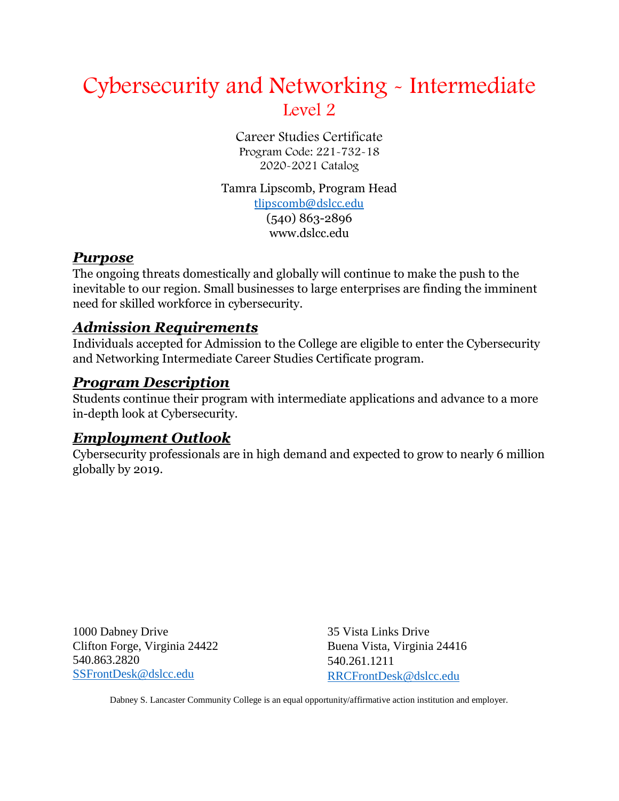# Cybersecurity and Networking - Intermediate Level 2

Career Studies Certificate Program Code: 221-732-18 2020-2021 Catalog

Tamra Lipscomb, Program Head [tlipscomb@dslcc.edu](mailto:tlipscomb@dslcc.edu) (540) 863-2896 www.dslcc.edu

#### *Purpose*

The ongoing threats domestically and globally will continue to make the push to the inevitable to our region. Small businesses to large enterprises are finding the imminent need for skilled workforce in cybersecurity.

## *Admission Requirements*

Individuals accepted for Admission to the College are eligible to enter the Cybersecurity and Networking Intermediate Career Studies Certificate program.

#### *Program Description*

Students continue their program with intermediate applications and advance to a more in-depth look at Cybersecurity.

## *Employment Outlook*

Cybersecurity professionals are in high demand and expected to grow to nearly 6 million globally by 2019.

1000 Dabney Drive Clifton Forge, Virginia 24422 540.863.2820 [SSFrontDesk@dslcc.edu](mailto:SSFrontDesk@dslcc.edu)

35 Vista Links Drive Buena Vista, Virginia 24416 540.261.1211 [RRCFrontDesk@dslcc.edu](mailto:RRCFrontDesk@dslcc.edu)

Dabney S. Lancaster Community College is an equal opportunity/affirmative action institution and employer.